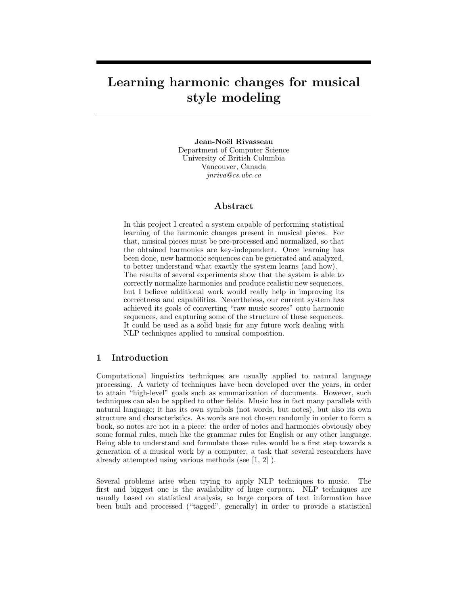# Learning harmonic changes for musical style modeling

Jean-Noël Rivasseau Department of Computer Science University of British Columbia Vancouver, Canada jnriva@cs.ubc.ca

# Abstract

In this project I created a system capable of performing statistical learning of the harmonic changes present in musical pieces. For that, musical pieces must be pre-processed and normalized, so that the obtained harmonies are key-independent. Once learning has been done, new harmonic sequences can be generated and analyzed, to better understand what exactly the system learns (and how). The results of several experiments show that the system is able to correctly normalize harmonies and produce realistic new sequences, but I believe additional work would really help in improving its correctness and capabilities. Nevertheless, our current system has achieved its goals of converting "raw music scores" onto harmonic sequences, and capturing some of the structure of these sequences. It could be used as a solid basis for any future work dealing with NLP techniques applied to musical composition.

# 1 Introduction

Computational linguistics techniques are usually applied to natural language processing. A variety of techniques have been developed over the years, in order to attain "high-level" goals such as summarization of documents. However, such techniques can also be applied to other fields. Music has in fact many parallels with natural language; it has its own symbols (not words, but notes), but also its own structure and characteristics. As words are not chosen randomly in order to form a book, so notes are not in a piece: the order of notes and harmonies obviously obey some formal rules, much like the grammar rules for English or any other language. Being able to understand and formulate those rules would be a first step towards a generation of a musical work by a computer, a task that several researchers have already attempted using various methods (see [1, 2] ).

Several problems arise when trying to apply NLP techniques to music. The first and biggest one is the availability of huge corpora. NLP techniques are usually based on statistical analysis, so large corpora of text information have been built and processed ("tagged", generally) in order to provide a statistical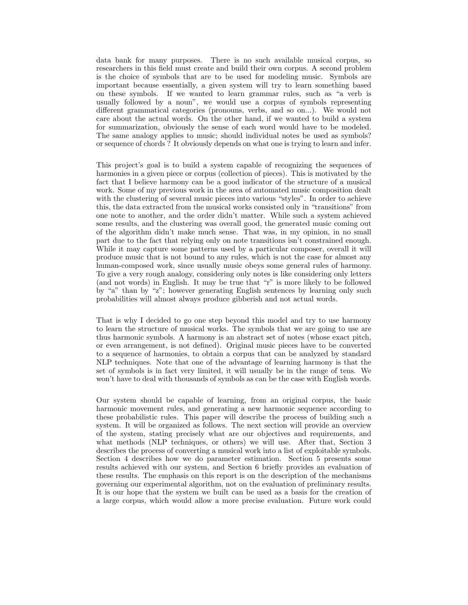data bank for many purposes. There is no such available musical corpus, so researchers in this field must create and build their own corpus. A second problem is the choice of symbols that are to be used for modeling music. Symbols are important because essentially, a given system will try to learn something based on these symbols. If we wanted to learn grammar rules, such as "a verb is usually followed by a noun", we would use a corpus of symbols representing different grammatical categories (pronouns, verbs, and so on...). We would not care about the actual words. On the other hand, if we wanted to build a system for summarization, obviously the sense of each word would have to be modeled. The same analogy applies to music; should individual notes be used as symbols? or sequence of chords ? It obviously depends on what one is trying to learn and infer.

This project's goal is to build a system capable of recognizing the sequences of harmonies in a given piece or corpus (collection of pieces). This is motivated by the fact that I believe harmony can be a good indicator of the structure of a musical work. Some of my previous work in the area of automated music composition dealt with the clustering of several music pieces into various "styles". In order to achieve this, the data extracted from the musical works consisted only in "transitions" from one note to another, and the order didn't matter. While such a system achieved some results, and the clustering was overall good, the generated music coming out of the algorithm didn't make much sense. That was, in my opinion, in no small part due to the fact that relying only on note transitions isn't constrained enough. While it may capture some patterns used by a particular composer, overall it will produce music that is not bound to any rules, which is not the case for almost any human-composed work, since usually music obeys some general rules of harmony. To give a very rough analogy, considering only notes is like considering only letters (and not words) in English. It may be true that "r" is more likely to be followed by "a" than by "z"; however generating English sentences by learning only such probabilities will almost always produce gibberish and not actual words.

That is why I decided to go one step beyond this model and try to use harmony to learn the structure of musical works. The symbols that we are going to use are thus harmonic symbols. A harmony is an abstract set of notes (whose exact pitch, or even arrangement, is not defined). Original music pieces have to be converted to a sequence of harmonies, to obtain a corpus that can be analyzed by standard NLP techniques. Note that one of the advantage of learning harmony is that the set of symbols is in fact very limited, it will usually be in the range of tens. We won't have to deal with thousands of symbols as can be the case with English words.

Our system should be capable of learning, from an original corpus, the basic harmonic movement rules, and generating a new harmonic sequence according to these probabilistic rules. This paper will describe the process of building such a system. It will be organized as follows. The next section will provide an overview of the system, stating precisely what are our objectives and requirements, and what methods (NLP techniques, or others) we will use. After that, Section 3 describes the process of converting a musical work into a list of exploitable symbols. Section 4 describes how we do parameter estimation. Section 5 presents some results achieved with our system, and Section 6 briefly provides an evaluation of these results. The emphasis on this report is on the description of the mechanisms governing our experimental algorithm, not on the evaluation of preliminary results. It is our hope that the system we built can be used as a basis for the creation of a large corpus, which would allow a more precise evaluation. Future work could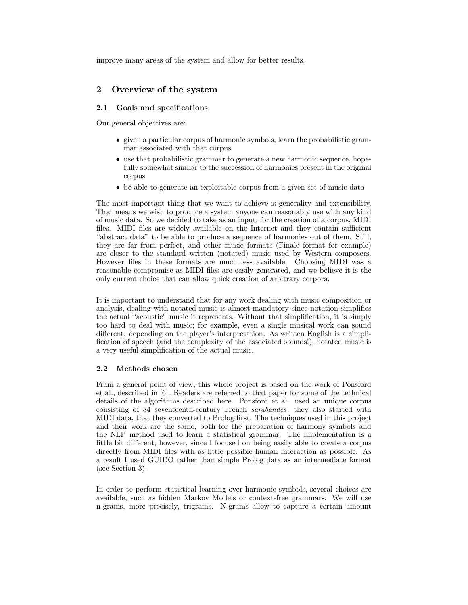improve many areas of the system and allow for better results.

# 2 Overview of the system

# 2.1 Goals and specifications

Our general objectives are:

- given a particular corpus of harmonic symbols, learn the probabilistic grammar associated with that corpus
- use that probabilistic grammar to generate a new harmonic sequence, hopefully somewhat similar to the succession of harmonies present in the original corpus
- be able to generate an exploitable corpus from a given set of music data

The most important thing that we want to achieve is generality and extensibility. That means we wish to produce a system anyone can reasonably use with any kind of music data. So we decided to take as an input, for the creation of a corpus, MIDI files. MIDI files are widely available on the Internet and they contain sufficient "abstract data" to be able to produce a sequence of harmonies out of them. Still, they are far from perfect, and other music formats (Finale format for example) are closer to the standard written (notated) music used by Western composers. However files in these formats are much less available. Choosing MIDI was a reasonable compromise as MIDI files are easily generated, and we believe it is the only current choice that can allow quick creation of arbitrary corpora.

It is important to understand that for any work dealing with music composition or analysis, dealing with notated music is almost mandatory since notation simplifies the actual "acoustic" music it represents. Without that simplification, it is simply too hard to deal with music; for example, even a single musical work can sound different, depending on the player's interpretation. As written English is a simplification of speech (and the complexity of the associated sounds!), notated music is a very useful simplification of the actual music.

## 2.2 Methods chosen

From a general point of view, this whole project is based on the work of Ponsford et al., described in [6]. Readers are referred to that paper for some of the technical details of the algorithms described here. Ponsford et al. used an unique corpus consisting of 84 seventeenth-century French sarabandes; they also started with MIDI data, that they converted to Prolog first. The techniques used in this project and their work are the same, both for the preparation of harmony symbols and the NLP method used to learn a statistical grammar. The implementation is a little bit different, however, since I focused on being easily able to create a corpus directly from MIDI files with as little possible human interaction as possible. As a result I used GUIDO rather than simple Prolog data as an intermediate format (see Section 3).

In order to perform statistical learning over harmonic symbols, several choices are available, such as hidden Markov Models or context-free grammars. We will use n-grams, more precisely, trigrams. N-grams allow to capture a certain amount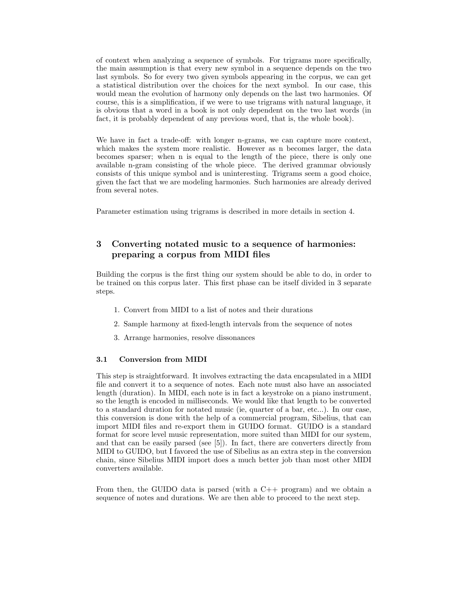of context when analyzing a sequence of symbols. For trigrams more specifically, the main assumption is that every new symbol in a sequence depends on the two last symbols. So for every two given symbols appearing in the corpus, we can get a statistical distribution over the choices for the next symbol. In our case, this would mean the evolution of harmony only depends on the last two harmonies. Of course, this is a simplification, if we were to use trigrams with natural language, it is obvious that a word in a book is not only dependent on the two last words (in fact, it is probably dependent of any previous word, that is, the whole book).

We have in fact a trade-off: with longer n-grams, we can capture more context, which makes the system more realistic. However as n becomes larger, the data becomes sparser; when n is equal to the length of the piece, there is only one available n-gram consisting of the whole piece. The derived grammar obviously consists of this unique symbol and is uninteresting. Trigrams seem a good choice, given the fact that we are modeling harmonies. Such harmonies are already derived from several notes.

Parameter estimation using trigrams is described in more details in section 4.

# 3 Converting notated music to a sequence of harmonies: preparing a corpus from MIDI files

Building the corpus is the first thing our system should be able to do, in order to be trained on this corpus later. This first phase can be itself divided in 3 separate steps.

- 1. Convert from MIDI to a list of notes and their durations
- 2. Sample harmony at fixed-length intervals from the sequence of notes
- 3. Arrange harmonies, resolve dissonances

# 3.1 Conversion from MIDI

This step is straightforward. It involves extracting the data encapsulated in a MIDI file and convert it to a sequence of notes. Each note must also have an associated length (duration). In MIDI, each note is in fact a keystroke on a piano instrument, so the length is encoded in milliseconds. We would like that length to be converted to a standard duration for notated music (ie, quarter of a bar, etc...). In our case, this conversion is done with the help of a commercial program, Sibelius, that can import MIDI files and re-export them in GUIDO format. GUIDO is a standard format for score level music representation, more suited than MIDI for our system, and that can be easily parsed (see [5]). In fact, there are converters directly from MIDI to GUIDO, but I favored the use of Sibelius as an extra step in the conversion chain, since Sibelius MIDI import does a much better job than most other MIDI converters available.

From then, the GUIDO data is parsed (with a C++ program) and we obtain a sequence of notes and durations. We are then able to proceed to the next step.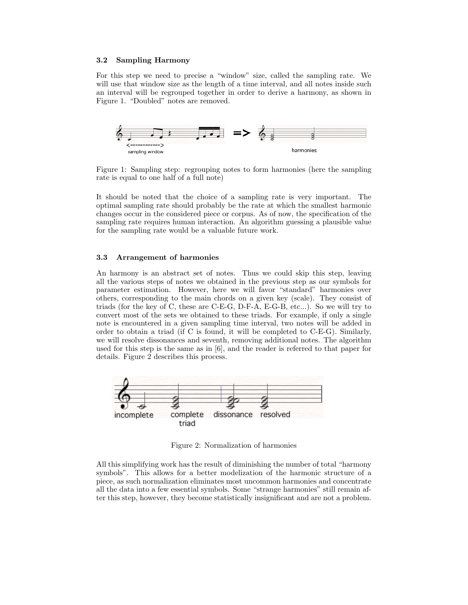## 3.2 Sampling Harmony

For this step we need to precise a "window" size, called the sampling rate. We will use that window size as the length of a time interval, and all notes inside such an interval will be regrouped together in order to derive a harmony, as shown in Figure 1. "Doubled" notes are removed.



Figure 1: Sampling step: regrouping notes to form harmonies (here the sampling rate is equal to one half of a full note)

It should be noted that the choice of a sampling rate is very important. The optimal sampling rate should probably be the rate at which the smallest harmonic changes occur in the considered piece or corpus. As of now, the specification of the sampling rate requires human interaction. An algorithm guessing a plausible value for the sampling rate would be a valuable future work.

#### 3.3 Arrangement of harmonies

An harmony is an abstract set of notes. Thus we could skip this step, leaving all the various steps of notes we obtained in the previous step as our symbols for parameter estimation. However, here we will favor "standard" harmonies over others, corresponding to the main chords on a given key (scale). They consist of triads (for the key of C, these are C-E-G, D-F-A, E-G-B, etc...). So we will try to convert most of the sets we obtained to these triads. For example, if only a single note is encountered in a given sampling time interval, two notes will be added in order to obtain a triad (if C is found, it will be completed to C-E-G). Similarly, we will resolve dissonances and seventh, removing additional notes. The algorithm used for this step is the same as in [6], and the reader is referred to that paper for details. Figure 2 describes this process.



Figure 2: Normalization of harmonies

All this simplifying work has the result of diminishing the number of total "harmony symbols". This allows for a better modelization of the harmonic structure of a piece, as such normalization eliminates most uncommon harmonies and concentrate all the data into a few essential symbols. Some "strange harmonies" still remain after this step, however, they become statistically insignificant and are not a problem.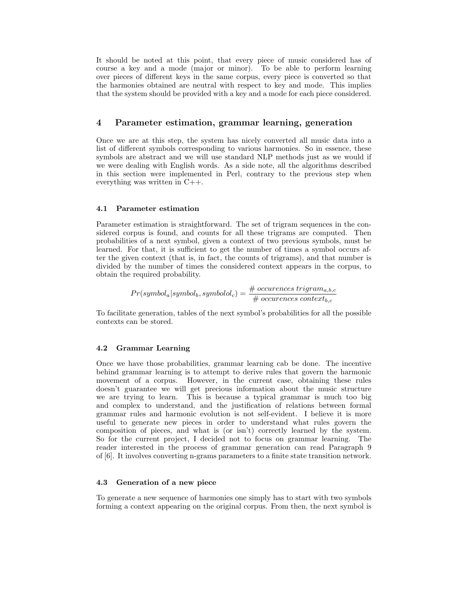It should be noted at this point, that every piece of music considered has of course a key and a mode (major or minor). To be able to perform learning over pieces of different keys in the same corpus, every piece is converted so that the harmonies obtained are neutral with respect to key and mode. This implies that the system should be provided with a key and a mode for each piece considered.

# 4 Parameter estimation, grammar learning, generation

Once we are at this step, the system has nicely converted all music data into a list of different symbols corresponding to various harmonies. So in essence, these symbols are abstract and we will use standard NLP methods just as we would if we were dealing with English words. As a side note, all the algorithms described in this section were implemented in Perl, contrary to the previous step when everything was written in C++.

## 4.1 Parameter estimation

Parameter estimation is straightforward. The set of trigram sequences in the considered corpus is found, and counts for all these trigrams are computed. Then probabilities of a next symbol, given a context of two previous symbols, must be learned. For that, it is sufficient to get the number of times a symbol occurs after the given context (that is, in fact, the counts of trigrams), and that number is divided by the number of times the considered context appears in the corpus, to obtain the required probability.

$$
Pr(symbol_a|symbol_b, symbol_{bc}) = \frac{\# \text{ occurrences trigram}_{a,b,c}}{\# \text{ occurrences context}_{b,c}}
$$

To facilitate generation, tables of the next symbol's probabilities for all the possible contexts can be stored.

### 4.2 Grammar Learning

Once we have those probabilities, grammar learning cab be done. The incentive behind grammar learning is to attempt to derive rules that govern the harmonic movement of a corpus. However, in the current case, obtaining these rules doesn't guarantee we will get precious information about the music structure we are trying to learn. This is because a typical grammar is much too big and complex to understand, and the justification of relations between formal grammar rules and harmonic evolution is not self-evident. I believe it is more useful to generate new pieces in order to understand what rules govern the composition of pieces, and what is (or isn't) correctly learned by the system. So for the current project, I decided not to focus on grammar learning. The reader interested in the process of grammar generation can read Paragraph 9 of [6]. It involves converting n-grams parameters to a finite state transition network.

## 4.3 Generation of a new piece

To generate a new sequence of harmonies one simply has to start with two symbols forming a context appearing on the original corpus. From then, the next symbol is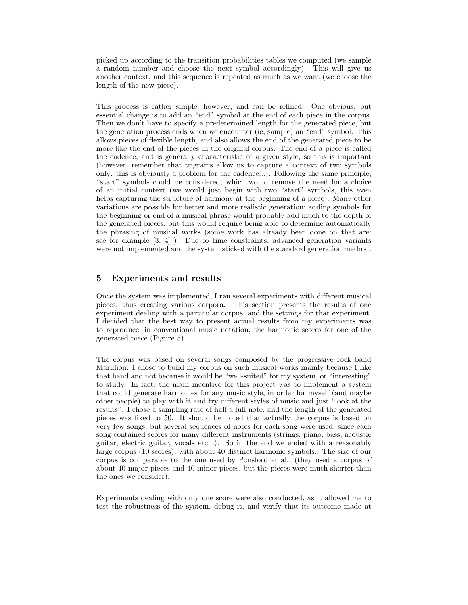picked up according to the transition probabilities tables we computed (we sample a random number and choose the next symbol accordingly). This will give us another context, and this sequence is repeated as much as we want (we choose the length of the new piece).

This process is rather simple, however, and can be refined. One obvious, but essential change is to add an "end" symbol at the end of each piece in the corpus. Then we don't have to specify a predetermined length for the generated piece, but the generation process ends when we encounter (ie, sample) an "end" symbol. This allows pieces of flexible length, and also allows the end of the generated piece to be more like the end of the pieces in the original corpus. The end of a piece is called the cadence, and is generally characteristic of a given style, so this is important (however, remember that trigrams allow us to capture a context of two symbols only: this is obviously a problem for the cadence...). Following the same principle, "start" symbols could be considered, which would remove the need for a choice of an initial context (we would just begin with two "start" symbols, this even helps capturing the structure of harmony at the beginning of a piece). Many other variations are possible for better and more realistic generation; adding symbols for the beginning or end of a musical phrase would probably add much to the depth of the generated pieces, but this would require being able to determine automatically the phrasing of musical works (some work has already been done on that are: see for example [3, 4] ). Due to time constraints, advanced generation variants were not implemented and the system sticked with the standard generation method.

# 5 Experiments and results

Once the system was implemented, I ran several experiments with different musical pieces, thus creating various corpora. This section presents the results of one experiment dealing with a particular corpus, and the settings for that experiment. I decided that the best way to present actual results from my experiments was to reproduce, in conventional music notation, the harmonic scores for one of the generated piece (Figure 5).

The corpus was based on several songs composed by the progressive rock band Marillion. I chose to build my corpus on such musical works mainly because I like that band and not because it would be "well-suited" for my system, or "interesting" to study. In fact, the main incentive for this project was to implement a system that could generate harmonies for any music style, in order for myself (and maybe other people) to play with it and try different styles of music and just "look at the results". I chose a sampling rate of half a full note, and the length of the generated pieces was fixed to 50. It should be noted that actually the corpus is based on very few songs, but several sequences of notes for each song were used, since each song contained scores for many different instruments (strings, piano, bass, acoustic guitar, electric guitar, vocals etc...). So in the end we ended with a reasonably large corpus (10 scores), with about 40 distinct harmonic symbols.. The size of our corpus is comparable to the one used by Ponsford et al., (they used a corpus of about 40 major pieces and 40 minor pieces, but the pieces were much shorter than the ones we consider).

Experiments dealing with only one score were also conducted, as it allowed me to test the robustness of the system, debug it, and verify that its outcome made at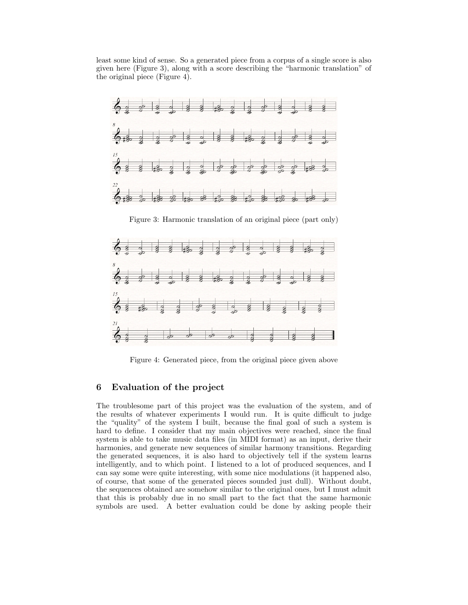least some kind of sense. So a generated piece from a corpus of a single score is also given here (Figure 3), along with a score describing the "harmonic translation" of the original piece (Figure 4).



Figure 3: Harmonic translation of an original piece (part only)



Figure 4: Generated piece, from the original piece given above

# 6 Evaluation of the project

The troublesome part of this project was the evaluation of the system, and of the results of whatever experiments I would run. It is quite difficult to judge the "quality" of the system I built, because the final goal of such a system is hard to define. I consider that my main objectives were reached, since the final system is able to take music data files (in MIDI format) as an input, derive their harmonies, and generate new sequences of similar harmony transitions. Regarding the generated sequences, it is also hard to objectively tell if the system learns intelligently, and to which point. I listened to a lot of produced sequences, and I can say some were quite interesting, with some nice modulations (it happened also, of course, that some of the generated pieces sounded just dull). Without doubt, the sequences obtained are somehow similar to the original ones, but I must admit that this is probably due in no small part to the fact that the same harmonic symbols are used. A better evaluation could be done by asking people their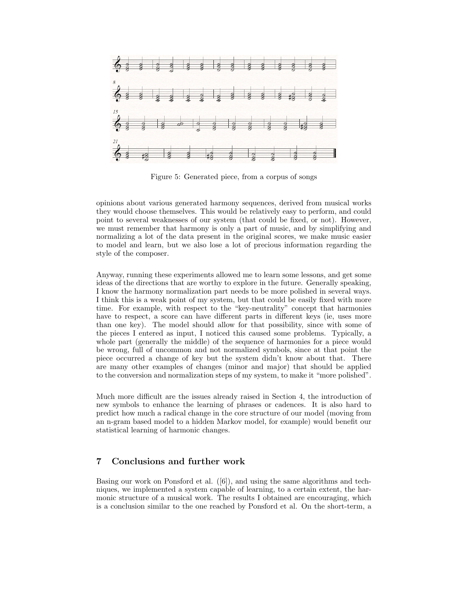

Figure 5: Generated piece, from a corpus of songs

opinions about various generated harmony sequences, derived from musical works they would choose themselves. This would be relatively easy to perform, and could point to several weaknesses of our system (that could be fixed, or not). However, we must remember that harmony is only a part of music, and by simplifying and normalizing a lot of the data present in the original scores, we make music easier to model and learn, but we also lose a lot of precious information regarding the style of the composer.

Anyway, running these experiments allowed me to learn some lessons, and get some ideas of the directions that are worthy to explore in the future. Generally speaking, I know the harmony normalization part needs to be more polished in several ways. I think this is a weak point of my system, but that could be easily fixed with more time. For example, with respect to the "key-neutrality" concept that harmonies have to respect, a score can have different parts in different keys (ie, uses more than one key). The model should allow for that possibility, since with some of the pieces I entered as input, I noticed this caused some problems. Typically, a whole part (generally the middle) of the sequence of harmonies for a piece would be wrong, full of uncommon and not normalized symbols, since at that point the piece occurred a change of key but the system didn't know about that. There are many other examples of changes (minor and major) that should be applied to the conversion and normalization steps of my system, to make it "more polished".

Much more difficult are the issues already raised in Section 4, the introduction of new symbols to enhance the learning of phrases or cadences. It is also hard to predict how much a radical change in the core structure of our model (moving from an n-gram based model to a hidden Markov model, for example) would benefit our statistical learning of harmonic changes.

# 7 Conclusions and further work

Basing our work on Ponsford et al. ([6]), and using the same algorithms and techniques, we implemented a system capable of learning, to a certain extent, the harmonic structure of a musical work. The results I obtained are encouraging, which is a conclusion similar to the one reached by Ponsford et al. On the short-term, a